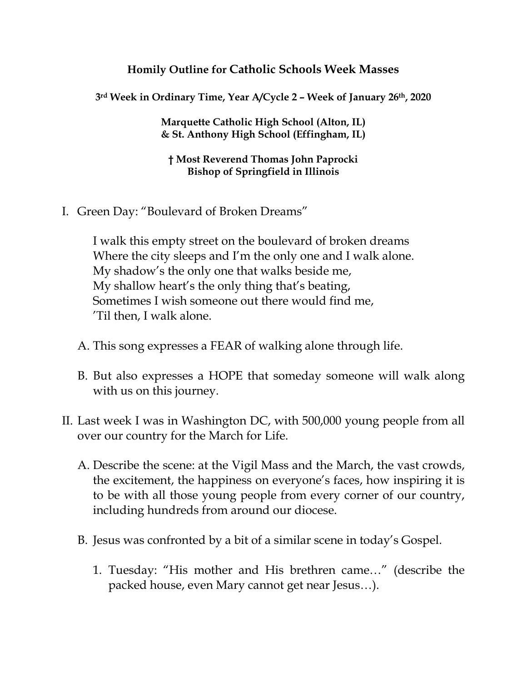## **Homily Outline for Catholic Schools Week Masses**

**3rd Week in Ordinary Time, Year A/Cycle 2 – Week of January 26th, 2020**

**Marquette Catholic High School (Alton, IL) & St. Anthony High School (Effingham, IL)**

**† Most Reverend Thomas John Paprocki Bishop of Springfield in Illinois**

I. Green Day: "Boulevard of Broken Dreams"

I walk this empty street on the boulevard of broken dreams Where the city sleeps and I'm the only one and I walk alone. My shadow's the only one that walks beside me, My shallow heart's the only thing that's beating, Sometimes I wish someone out there would find me, 'Til then, I walk alone.

- A. This song expresses a FEAR of walking alone through life.
- B. But also expresses a HOPE that someday someone will walk along with us on this journey.
- II. Last week I was in Washington DC, with 500,000 young people from all over our country for the March for Life.
	- A. Describe the scene: at the Vigil Mass and the March, the vast crowds, the excitement, the happiness on everyone's faces, how inspiring it is to be with all those young people from every corner of our country, including hundreds from around our diocese.
	- B. Jesus was confronted by a bit of a similar scene in today's Gospel.
		- 1. Tuesday: "His mother and His brethren came…" (describe the packed house, even Mary cannot get near Jesus…).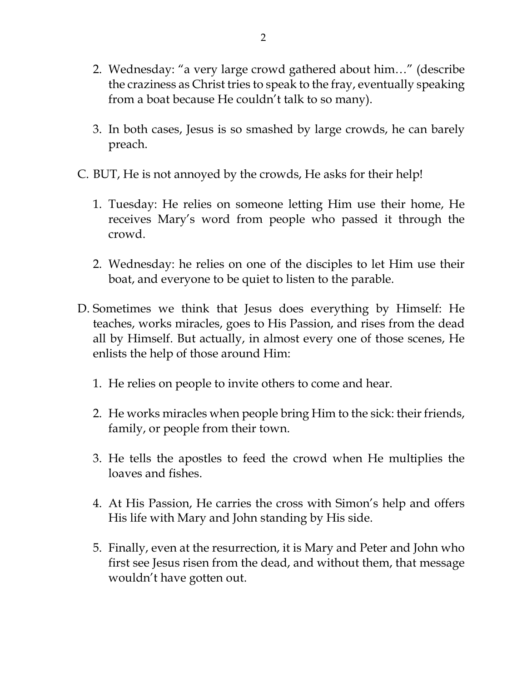- 2. Wednesday: "a very large crowd gathered about him…" (describe the craziness as Christ tries to speak to the fray, eventually speaking from a boat because He couldn't talk to so many).
- 3. In both cases, Jesus is so smashed by large crowds, he can barely preach.
- C. BUT, He is not annoyed by the crowds, He asks for their help!
	- 1. Tuesday: He relies on someone letting Him use their home, He receives Mary's word from people who passed it through the crowd.
	- 2. Wednesday: he relies on one of the disciples to let Him use their boat, and everyone to be quiet to listen to the parable.
- D. Sometimes we think that Jesus does everything by Himself: He teaches, works miracles, goes to His Passion, and rises from the dead all by Himself. But actually, in almost every one of those scenes, He enlists the help of those around Him:
	- 1. He relies on people to invite others to come and hear.
	- 2. He works miracles when people bring Him to the sick: their friends, family, or people from their town.
	- 3. He tells the apostles to feed the crowd when He multiplies the loaves and fishes.
	- 4. At His Passion, He carries the cross with Simon's help and offers His life with Mary and John standing by His side.
	- 5. Finally, even at the resurrection, it is Mary and Peter and John who first see Jesus risen from the dead, and without them, that message wouldn't have gotten out.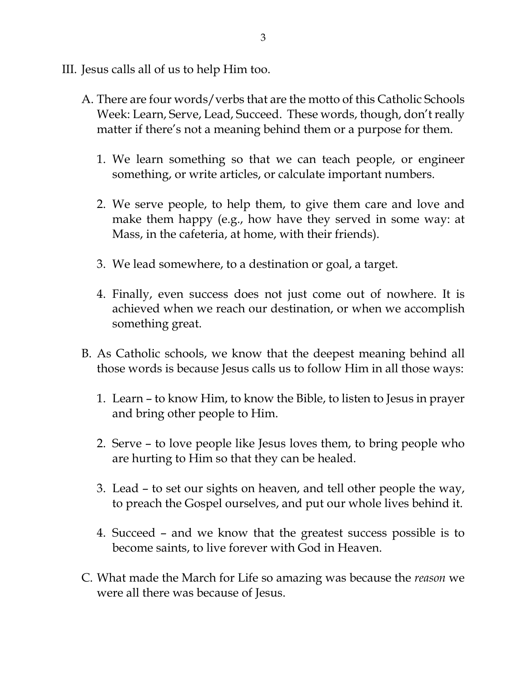- III. Jesus calls all of us to help Him too.
	- A. There are four words/verbs that are the motto of this Catholic Schools Week: Learn, Serve, Lead, Succeed. These words, though, don't really matter if there's not a meaning behind them or a purpose for them.
		- 1. We learn something so that we can teach people, or engineer something, or write articles, or calculate important numbers.
		- 2. We serve people, to help them, to give them care and love and make them happy (e.g., how have they served in some way: at Mass, in the cafeteria, at home, with their friends).
		- 3. We lead somewhere, to a destination or goal, a target.
		- 4. Finally, even success does not just come out of nowhere. It is achieved when we reach our destination, or when we accomplish something great.
	- B. As Catholic schools, we know that the deepest meaning behind all those words is because Jesus calls us to follow Him in all those ways:
		- 1. Learn to know Him, to know the Bible, to listen to Jesus in prayer and bring other people to Him.
		- 2. Serve to love people like Jesus loves them, to bring people who are hurting to Him so that they can be healed.
		- 3. Lead to set our sights on heaven, and tell other people the way, to preach the Gospel ourselves, and put our whole lives behind it.
		- 4. Succeed and we know that the greatest success possible is to become saints, to live forever with God in Heaven.
	- C. What made the March for Life so amazing was because the *reason* we were all there was because of Jesus.